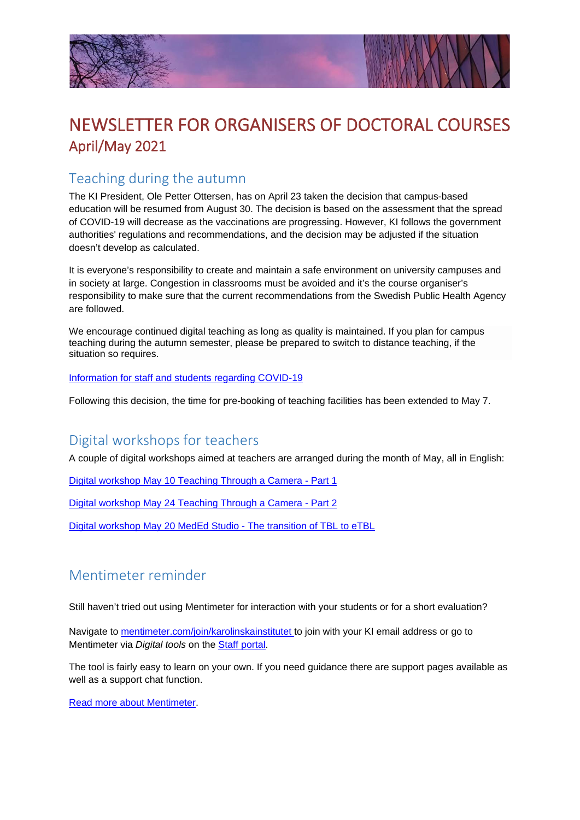



# NEWSLETTER FOR ORGANISERS OF DOCTORAL COURSES April/May 2021

#### Teaching during the autumn

The KI President, Ole Petter Ottersen, has on April 23 taken the decision that campus-based education will be resumed from August 30. The decision is based on the assessment that the spread of COVID-19 will decrease as the vaccinations are progressing. However, KI follows the government authorities' regulations and recommendations, and the decision may be adjusted if the situation doesn't develop as calculated.

It is everyone's responsibility to create and maintain a safe environment on university campuses and in society at large. Congestion in classrooms must be avoided and it's the course organiser's responsibility to make sure that the current recommendations from the Swedish Public Health Agency are followed.

We encourage continued digital teaching as long as quality is maintained. If you plan for campus teaching during the autumn semester, please be prepared to switch to distance teaching, if the situation so requires.

[Information for staff and students regarding COVID-19](https://news.ki.se/information-for-staff-and-students-regarding-covid-19)

Following this decision, the time for pre-booking of teaching facilities has been extended to May 7.

### Digital workshops for teachers

A couple of digital workshops aimed at teachers are arranged during the month of May, all in English:

[Digital workshop May 10 Teaching Through a Camera -](https://news.ki.se/teaching-through-a-camera-part-1-basic-level) Part 1

[Digital workshop May 24 Teaching Through a Camera -](https://news.ki.se/teaching-through-a-camera-part-1-basic-level) Part 2

[Digital workshop May 20 MedEd Studio -](https://news.ki.se/meded-studio-the-transition-of-tbl-to-etbl) The transition of TBL to eTBL

#### Mentimeter reminder

Still haven't tried out using Mentimeter for interaction with your students or for a short evaluation?

Navigate to [mentimeter.com/join/karolinskainstitutet t](https://www.mentimeter.com/join/karolinskainstitutet)o join with your KI email address or go to Mentimeter via *Digital tools* on the [Staff portal.](https://staff.ki.se/)

The tool is fairly easy to learn on your own. If you need guidance there are support pages available as well as a support chat function.

[Read more about Mentimeter.](https://staff.ki.se/mentimeter)